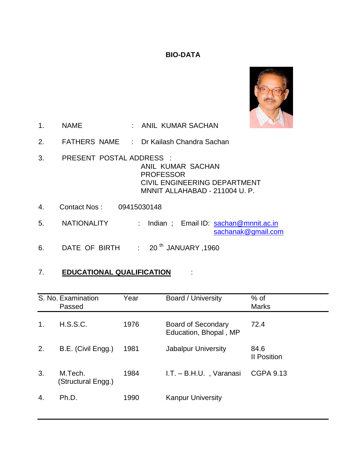# **BIO-DATA**



- 1. NAME : ANIL KUMAR SACHAN
- 2. FATHERS NAME : Dr Kailash Chandra Sachan
- 3. PRESENT POSTAL ADDRESS : ANIL KUMAR SACHAN PROFESSOR CIVIL ENGINEERING DEPARTMENT MNNIT ALLAHABAD - 211004 U. P.
- 4. Contact Nos : 09415030148
- 5. NATIONALITY : Indian; Email ID: [sachan@mnnit.ac.in](mailto:sachan@mnnit.ac.in) [sachanak@gmail.com](mailto:sachanak@gmail.com)
- 6. DATE OF BIRTH :  $20^{th}$  JANUARY, 1960

# 7. **EDUCATIONAL QUALIFICATION** :

|    | S. No. Examination<br>Passed  | Year | Board / University                                 | $%$ of<br><b>Marks</b>     |
|----|-------------------------------|------|----------------------------------------------------|----------------------------|
| 1. | H.S.S.C.                      | 1976 | <b>Board of Secondary</b><br>Education, Bhopal, MP | 72.4                       |
| 2. | B.E. (Civil Engg.)            | 1981 | Jabalpur University                                | 84.6<br><b>II Position</b> |
| 3. | M.Tech.<br>(Structural Engg.) | 1984 | I.T. - B.H.U., Varanasi                            | <b>CGPA 9.13</b>           |
| 4. | Ph.D.                         | 1990 | <b>Kanpur University</b>                           |                            |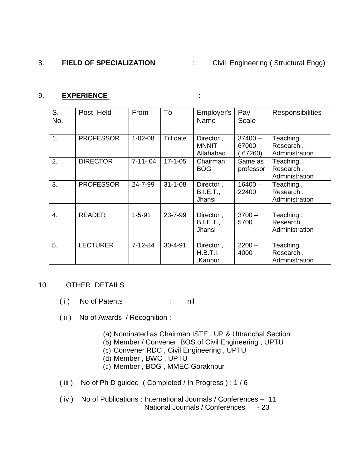# 8. **FIELD OF SPECIALIZATION** : Civil Engineering ( Structural Engg)

# 9. **EXPERIENCE** :

| S.<br>No. | Post Held        | From          | To            | Employer's<br>Name                      | Pay<br>Scale                 | <b>Responsibilities</b>                  |
|-----------|------------------|---------------|---------------|-----------------------------------------|------------------------------|------------------------------------------|
| 1.        | <b>PROFESSOR</b> | $1 - 02 - 08$ | Till date     | Director,<br><b>MNNIT</b><br>Allahabad  | $37400 -$<br>67000<br>67260) | Teaching,<br>Research,<br>Administration |
| 2.        | <b>DIRECTOR</b>  | $7 - 11 - 04$ | $17 - 1 - 05$ | Chairman<br><b>BOG</b>                  | Same as<br>professor         | Teaching,<br>Research,<br>Administration |
| 3.        | <b>PROFESSOR</b> | 24-7-99       | $31 - 1 - 08$ | Director,<br><b>B.I.E.T.,</b><br>Jhansi | $16400 -$<br>22400           | Teaching,<br>Research,<br>Administration |
| 4.        | <b>READER</b>    | $1 - 5 - 91$  | 23-7-99       | Director,<br>B.I.E.T.,<br>Jhansi        | $3700 -$<br>5700             | Teaching,<br>Research,<br>Administration |
| 5.        | <b>LECTURER</b>  | $7 - 12 - 84$ | $30 - 4 - 91$ | Director,<br>H.B.T.I.<br>,Kanpur        | $2200 -$<br>4000             | Teaching,<br>Research,<br>Administration |

# 10. OTHER DETAILS

- (i) No of Patents : nil
- ( ii ) No of Awards / Recognition :
	- (a) Nominated as Chairman ISTE , UP & Uttranchal Section
	- (b) Member / Convener BOS of Civil Engineering , UPTU
	- (c) Convener RDC , Civil Engineering , UPTU
	- (d) Member , BWC , UPTU
	- (e) Member , BOG , MMEC Gorakhpur
- ( iii ) No of Ph D guided ( Completed / In Progress ) : 1 / 6
- ( iv ) No of Publications : International Journals / Conferences 11 National Journals / Conferences - 23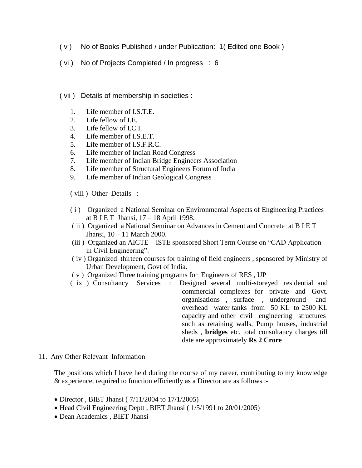- ( v ) No of Books Published / under Publication: 1( Edited one Book )
- ( vi ) No of Projects Completed / In progress : 6
- ( vii ) Details of membership in societies :
	- 1. Life member of I.S.T.E.
	- 2. Life fellow of I.E.
	- 3. Life fellow of I.C.I.
	- 4. Life member of I.S.E.T.
	- 5. Life member of I.S.F.R.C.
	- 6. Life member of Indian Road Congress
	- 7. Life member of Indian Bridge Engineers Association
	- 8. Life member of Structural Engineers Forum of India
	- 9. Life member of Indian Geological Congress

( viii ) Other Details :

- ( i ) Organized a National Seminar on Environmental Aspects of Engineering Practices at B I E T Jhansi, 17 – 18 April 1998.
- ( ii ) Organized a National Seminar on Advances in Cement and Concrete at B I E T Jhansi, 10 – 11 March 2000.
- (iii ) Organized an AICTE ISTE sponsored Short Term Course on "CAD Application in Civil Engineering".
- ( iv ) Organized thirteen courses for training of field engineers , sponsored by Ministry of Urban Development, Govt of India.
- ( v ) Organized Three training programs for Engineers of RES , UP
- ( ix ) Consultancy Services : Designed several multi-storeyed residential and commercial complexes for private and Govt. organisations , surface , underground and overhead water tanks from 50 KL to 2500 KL capacity and other civil engineering structures such as retaining walls, Pump houses, industrial sheds , **bridges** etc. total consultancy charges till date are approximately **Rs 2 Crore**
- 11. Any Other Relevant Information

The positions which I have held during the course of my career, contributing to my knowledge & experience, required to function efficiently as a Director are as follows :-

- Director, BIET Jhansi ( $7/11/2004$  to  $17/1/2005$ )
- Head Civil Engineering Deptt, BIET Jhansi (1/5/1991 to 20/01/2005)
- Dean Academics , BIET Jhansi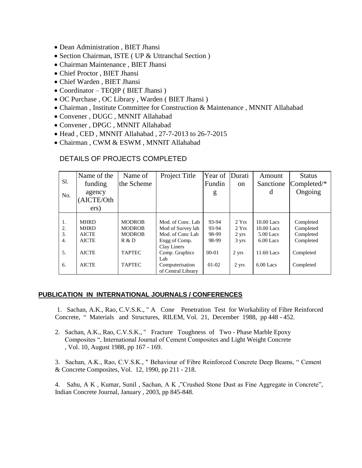- Dean Administration , BIET Jhansi
- Section Chairman, ISTE ( UP & Uttranchal Section )
- Chairman Maintenance , BIET Jhansi
- Chief Proctor , BIET Jhansi
- Chief Warden , BIET Jhansi
- Coordinator TEQIP ( BIET Jhansi )
- OC Purchase , OC Library , Warden ( BIET Jhansi )
- Chairman , Institute Committee for Construction & Maintenance , MNNIT Allahabad
- Convener , DUGC , MNNIT Allahabad
- Convener , DPGC , MNNIT Allahabad
- Head , CED , MNNIT Allahabad , 27-7-2013 to 26-7-2015
- Chairman , CWM & ESWM , MNNIT Allahabad

## DETAILS OF PROJECTS COMPLETED

| S1. | Name of the  | Name of       | Project Title      | Year of   | Durati        | Amount      | <b>Status</b> |
|-----|--------------|---------------|--------------------|-----------|---------------|-------------|---------------|
|     | funding      | the Scheme    |                    | Fundin    | <sub>on</sub> | Sanctione   | Completed/*   |
| No. | agency       |               |                    | g         |               | d           | Ongoing       |
|     | (AICTE/Oth   |               |                    |           |               |             |               |
|     | ers)         |               |                    |           |               |             |               |
|     |              |               |                    |           |               |             |               |
| 1.  | <b>MHRD</b>  | <b>MODROB</b> | Mod. of Conc. Lab  | 93-94     | 2 Yrs         | 10.00 Lacs  | Completed     |
| 2.  | <b>MHRD</b>  | <b>MODROB</b> | Mod of Survey lab  | 93-94     | 2 Yrs         | 10.00 Lacs  | Completed     |
| 3.  | <b>AICTE</b> | <b>MODROB</b> | Mod. of Conc Lab   | 98-99     | 2 yrs         | $5.00$ Lacs | Completed     |
| 4.  | <b>AICTE</b> | R & D         | Engg of Comp.      | 98-99     | 3 yrs         | $6.00$ Lacs | Completed     |
|     |              |               | Clay Liners        |           |               |             |               |
| 5.  | <b>AICTE</b> | <b>TAPTEC</b> | Comp. Graphics     | $00 - 01$ | 2 yrs         | 11.60 Lacs  | Completed     |
|     |              |               | Lab                |           |               |             |               |
| 6.  | <b>AICTE</b> | <b>TAPTEC</b> | Computerisation    | $01-02$   | 2 yrs         | $6.00$ Lacs | Completed     |
|     |              |               | of Central Library |           |               |             |               |

## **PUBLICATION IN INTERNATIONAL JOURNALS / CONFERENCES**

1. Sachan, A.K., Rao, C.V.S.K., " A Cone Penetration Test for Workability of Fibre Reinforced Concrete, " Materials and Structures, RILEM, Vol. 21, December 1988, pp 448 - 452.

2. Sachan, A.K., Rao, C.V.S.K., " Fracture Toughness of Two - Phase Marble Epoxy Composites ", International Journal of Cement Composites and Light Weight Concrete , Vol. 10, August 1988, pp 167 - 169.

3. Sachan, A.K., Rao, C.V.S.K., " Behaviour of Fibre Reinforced Concrete Deep Beams, " Cement & Concrete Composites, Vol. 12, 1990, pp 211 - 218.

4. Sahu, A K , Kumar, Sunil , Sachan, A K ,"Crushed Stone Dust as Fine Aggregate in Concrete", Indian Concrete Journal, January , 2003, pp 845-848.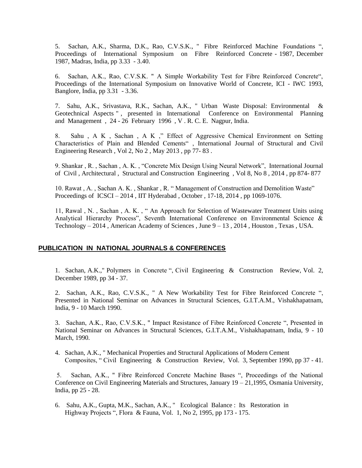5. Sachan, A.K., Sharma, D.K., Rao, C.V.S.K., " Fibre Reinforced Machine Foundations ", Proceedings of International Symposium on Fibre Reinforced Concrete - 1987, December 1987, Madras, India, pp 3.33 - 3.40.

6. Sachan, A.K., Rao, C.V.S.K. " A Simple Workability Test for Fibre Reinforced Concrete", Proceedings of the International Symposium on Innovative World of Concrete, ICI - IWC 1993, Banglore, India, pp 3.31 - 3.36.

7. Sahu, A.K., Srivastava, R.K., Sachan, A.K., " Urban Waste Disposal: Environmental & Geotechnical Aspects " , presented in International Conference on Environmental Planning and Management , 24 - 26 February 1996 , V . R. C. E. Nagpur, India.

8. Sahu , A K , Sachan , A K ," Effect of Aggressive Chemical Environment on Setting Characteristics of Plain and Blended Cements" , International Journal of Structural and Civil Engineering Research , Vol 2, No 2 , May 2013 , pp 77- 83 .

9. Shankar , R. , Sachan , A. K. , "Concrete Mix Design Using Neural Network", International Journal of Civil , Architectural , Structural and Construction Engineering , Vol 8, No 8 , 2014 , pp 874- 877

10. Rawat , A. , Sachan A. K. , Shankar , R. " Management of Construction and Demolition Waste" Proceedings of ICSCI – 2014 , IIT Hyderabad , October , 17-18, 2014 , pp 1069-1076.

11, Rawal , N. , Sachan , A. K. , " An Approach for Selection of Wastewater Treatment Units using Analytical Hierarchy Process", Seventh International Conference on Environmental Science  $\&$ Technology  $-2014$ , American Academy of Sciences, June  $9 - 13$ , 2014, Houston, Texas, USA.

## **PUBLICATION IN NATIONAL JOURNALS & CONFERENCES**

1. Sachan, A.K.," Polymers in Concrete ", Civil Engineering & Construction Review, Vol. 2, December 1989, pp 34 - 37.

2. Sachan, A.K., Rao, C.V.S.K., " A New Workability Test for Fibre Reinforced Concrete ", Presented in National Seminar on Advances in Structural Sciences, G.I.T.A.M., Vishakhapatnam, India, 9 - 10 March 1990.

3. Sachan, A.K., Rao, C.V.S.K., " Impact Resistance of Fibre Reinforced Concrete ", Presented in National Seminar on Advances in Structural Sciences, G.I.T.A.M., Vishakhapatnam, India, 9 - 10 March, 1990.

4. Sachan, A.K., " Mechanical Properties and Structural Applications of Modern Cement Composites, " Civil Engineering & Construction Review, Vol. 3, September 1990, pp 37 - 41.

5. Sachan, A.K., " Fibre Reinforced Concrete Machine Bases ", Proceedings of the National Conference on Civil Engineering Materials and Structures, January  $19 - 21,1995$ , Osmania University, India, pp 25 - 28.

6. Sahu, A.K., Gupta, M.K., Sachan, A.K., " Ecological Balance : Its Restoration in Highway Projects ", Flora & Fauna, Vol. 1, No 2, 1995, pp 173 - 175.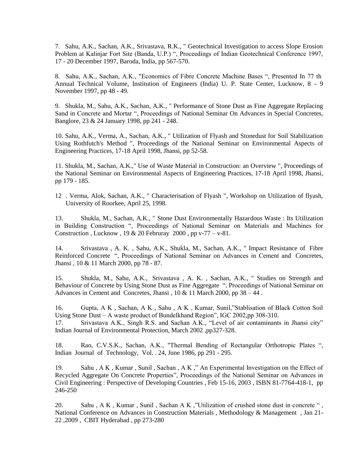7. Sahu, A.K., Sachan, A.K., Srivastava, R.K., " Geotechnical Investigation to access Slope Erosion Problem at Kalinjar Fort Site (Banda, U.P.) ", Proceedings of Indian Geotechnical Conference 1997, 17 - 20 December 1997, Baroda, India, pp 567-570.

8. Sahu, A.K., Sachan, A.K., "Economics of Fibre Concrete Machine Bases ", Presented In 77 th Annual Technical Volume, Institution of Engineers (India) U. P. State Center, Lucknow, 8 - 9 November 1997, pp 48 - 49.

9. Shukla, M., Sahu, A.K., Sachan, A.K., " Performance of Stone Dust as Fine Aggregate Replacing Sand in Concrete and Mortar ", Proceedings of National Seminar On Advances in Special Concretes, Banglore, 23 & 24 January 1998, pp 241 - 248.

10. Sahu, A.K., Verma, A., Sachan, A.K., " Utilization of Flyash and Stonedust for Soil Stabilization Using Rothfutch's Method ", Proceedings of the National Seminar on Environmental Aspects of Engineering Practices, 17-18 April 1998, Jhansi, pp 52-58.

11. Shukla, M., Sachan, A.K.," Use of Waste Material in Construction: an Overview ", Proceedings of the National Seminar on Environmental Aspects of Engineering Practices, 17-18 April 1998, Jhansi, pp 179 - 185.

12 . Verma, Alok, Sachan, A.K., " Characterisation of Flyash ", Workshop on Utilization of flyash, University of Roorkee, April 25, 1998.

13. Shukla, M., Sachan, A.K., " Stone Dust Environmentally Hazardous Waste : Its Utilization in Building Construction ", Proceedings of National Seminar on Materials and Machines for Construction, Lucknow,  $19 & 20$  Februray  $2000$ , pp v-77 – v-81.

14. Srivastava , A. K. , Sahu, A.K., Shukla, M., Sachan, A.K., " Impact Resistance of Fibre Reinforced Concrete ", Proceedings of National Seminar on Advances in Cement and Concretes, Jhansi , 10 & 11 March 2000, pp 78 - 87.

15. Shukla, M., Sahu, A.K., Srivastava , A. K. , Sachan, A.K., " Studies on Strength and Behaviour of Concrete by Using Stone Dust as Fine Aggregate ", Proceedings of National Seminar on Advances in Cement and Concretes, Jhansi,  $10 \& 11$  March 2000, pp  $38 - 44$ .

16. Gupta, A K , Sachan, A K , Sahu , A K , Kumar, Sunil,"Stablisation of Black Cotton Soil Using Stone Dust – A waste product of Bundelkhand Region", IGC 2002,pp 308-310.

17. Srivastava A.K., Singh R.S. and Sachan A.K., "Level of air contaminants in Jhansi city" Indian Journal of Environmental Protection, March 2002 ,pp327-328.

18. Rao, C.V.S.K., Sachan, A.K., "Thermal Bending of Rectangular Orthotropic Plates ", Indian Journal of Technology, Vol. . 24, June 1986, pp 291 - 295.

19. Sahu , A K , Kumar , Sunil , Sachan , A K ," An Experimental Investigation on the Effect of Recycled Aggregate On Concrete Properties", Proceedings of the National Seminar on Advances in Civil Engineering : Perspective of Developing Countries , Feb 15-16, 2003 , ISBN 81-7764-418-1, pp 246-250

20. Sahu , A K , Kumar , Sunil , Sachan A K ,"Utilization of crushed stone dust in concrete " , National Conference on Advances in Construction Materials , Methodology & Management , Jan 21- 22 ,2009 , CBIT Hyderabad , pp 273-280